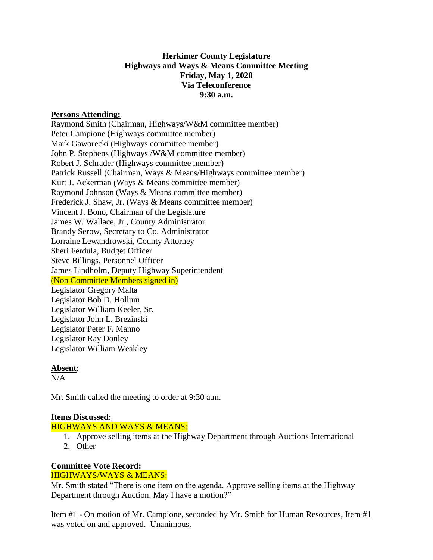### **Herkimer County Legislature Highways and Ways & Means Committee Meeting Friday, May 1, 2020 Via Teleconference 9:30 a.m.**

#### **Persons Attending:**

Raymond Smith (Chairman, Highways/W&M committee member) Peter Campione (Highways committee member) Mark Gaworecki (Highways committee member) John P. Stephens (Highways /W&M committee member) Robert J. Schrader (Highways committee member) Patrick Russell (Chairman, Ways & Means/Highways committee member) Kurt J. Ackerman (Ways & Means committee member) Raymond Johnson (Ways & Means committee member) Frederick J. Shaw, Jr. (Ways & Means committee member) Vincent J. Bono, Chairman of the Legislature James W. Wallace, Jr., County Administrator Brandy Serow, Secretary to Co. Administrator Lorraine Lewandrowski, County Attorney Sheri Ferdula, Budget Officer Steve Billings, Personnel Officer James Lindholm, Deputy Highway Superintendent (Non Committee Members signed in) Legislator Gregory Malta Legislator Bob D. Hollum Legislator William Keeler, Sr. Legislator John L. Brezinski Legislator Peter F. Manno Legislator Ray Donley Legislator William Weakley

#### **Absent**:

 $N/A$ 

Mr. Smith called the meeting to order at 9:30 a.m.

### **Items Discussed:**

HIGHWAYS AND WAYS & MEANS:

- 1. Approve selling items at the Highway Department through Auctions International
- 2. Other

# **Committee Vote Record:**

## HIGHWAYS/WAYS & MEANS:

Mr. Smith stated "There is one item on the agenda. Approve selling items at the Highway Department through Auction. May I have a motion?"

Item #1 - On motion of Mr. Campione, seconded by Mr. Smith for Human Resources, Item #1 was voted on and approved. Unanimous.